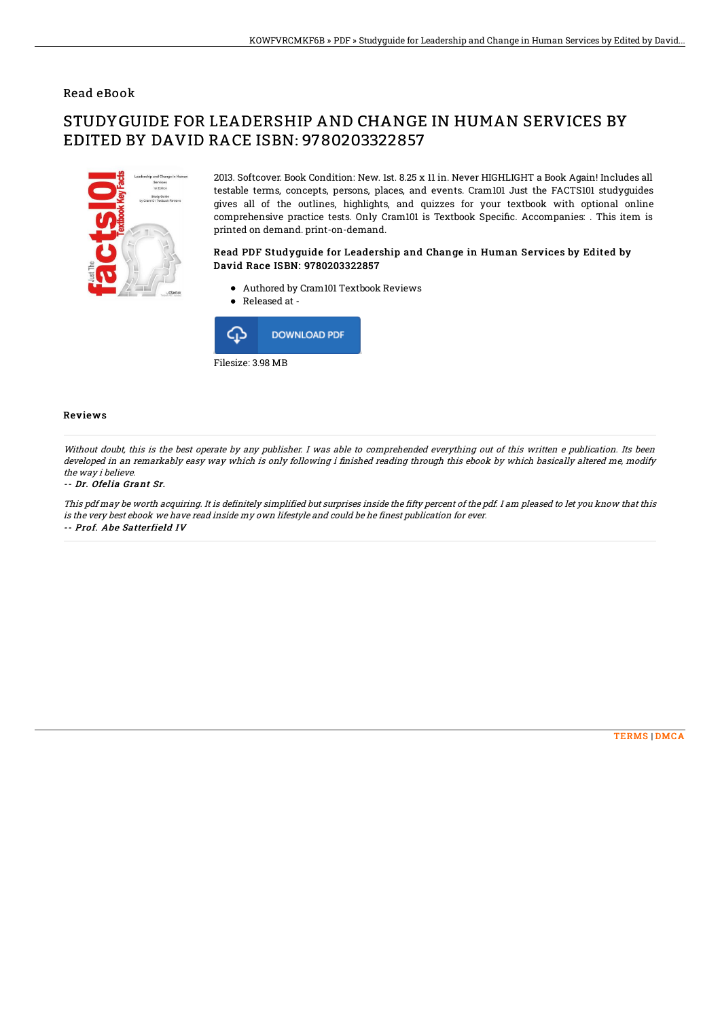## Read eBook

# STUDYGUIDE FOR LEADERSHIP AND CHANGE IN HUMAN SERVICES BY EDITED BY DAVID RACE ISBN: 9780203322857



2013. Softcover. Book Condition: New. 1st. 8.25 x 11 in. Never HIGHLIGHT a Book Again! Includes all testable terms, concepts, persons, places, and events. Cram101 Just the FACTS101 studyguides gives all of the outlines, highlights, and quizzes for your textbook with optional online comprehensive practice tests. Only Cram101 is Textbook Specific. Accompanies: . This item is printed on demand. print-on-demand.

### Read PDF Studyguide for Leadership and Change in Human Services by Edited by David Race ISBN: 9780203322857

- Authored by Cram101 Textbook Reviews
- Released at -



#### Reviews

Without doubt, this is the best operate by any publisher. I was able to comprehended everything out of this written e publication. Its been developed in an remarkably easy way which is only following i finished reading through this ebook by which basically altered me, modify the way i believe.

#### -- Dr. Ofelia Grant Sr.

This pdf may be worth acquiring. It is definitely simplified but surprises inside the fifty percent of the pdf. I am pleased to let you know that this is the very best ebook we have read inside my own lifestyle and could be he finest publication for ever. -- Prof. Abe Satterfield IV